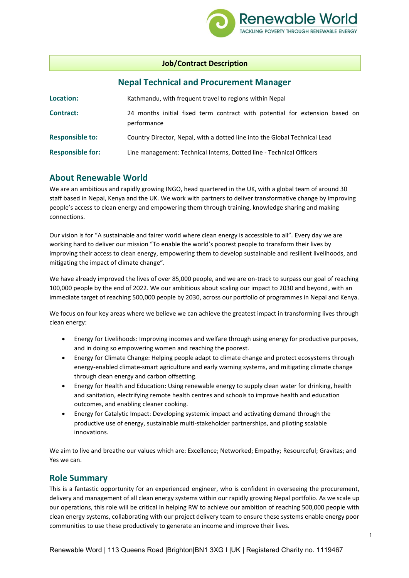

## **Job/Contract Description**

# **Nepal Technical and Procurement Manager**

| Location:               | Kathmandu, with frequent travel to regions within Nepal                                    |  |
|-------------------------|--------------------------------------------------------------------------------------------|--|
| <b>Contract:</b>        | 24 months initial fixed term contract with potential for extension based on<br>performance |  |
| <b>Responsible to:</b>  | Country Director, Nepal, with a dotted line into the Global Technical Lead                 |  |
| <b>Responsible for:</b> | Line management: Technical Interns, Dotted line - Technical Officers                       |  |

# **About Renewable World**

We are an ambitious and rapidly growing INGO, head quartered in the UK, with a global team of around 30 staff based in Nepal, Kenya and the UK. We work with partners to deliver transformative change by improving people's access to clean energy and empowering them through training, knowledge sharing and making connections.

Our vision is for "A sustainable and fairer world where clean energy is accessible to all". Every day we are working hard to deliver our mission "To enable the world's poorest people to transform their lives by improving their access to clean energy, empowering them to develop sustainable and resilient livelihoods, and mitigating the impact of climate change".

We have already improved the lives of over 85,000 people, and we are on-track to surpass our goal of reaching 100,000 people by the end of 2022. We our ambitious about scaling our impact to 2030 and beyond, with an immediate target of reaching 500,000 people by 2030, across our portfolio of programmes in Nepal and Kenya.

We focus on four key areas where we believe we can achieve the greatest impact in transforming lives through clean energy:

- Energy for Livelihoods: Improving incomes and welfare through using energy for productive purposes, and in doing so empowering women and reaching the poorest.
- Energy for Climate Change: Helping people adapt to climate change and protect ecosystems through energy-enabled climate-smart agriculture and early warning systems, and mitigating climate change through clean energy and carbon offsetting.
- Energy for Health and Education: Using renewable energy to supply clean water for drinking, health and sanitation, electrifying remote health centres and schools to improve health and education outcomes, and enabling cleaner cooking.
- Energy for Catalytic Impact: Developing systemic impact and activating demand through the productive use of energy, sustainable multi-stakeholder partnerships, and piloting scalable innovations.

We aim to live and breathe our values which are: Excellence; Networked; Empathy; Resourceful; Gravitas; and Yes we can.

# **Role Summary**

This is a fantastic opportunity for an experienced engineer, who is confident in overseeing the procurement, delivery and management of all clean energy systems within our rapidly growing Nepal portfolio. As we scale up our operations, this role will be critical in helping RW to achieve our ambition of reaching 500,000 people with clean energy systems, collaborating with our project delivery team to ensure these systems enable energy poor communities to use these productively to generate an income and improve their lives.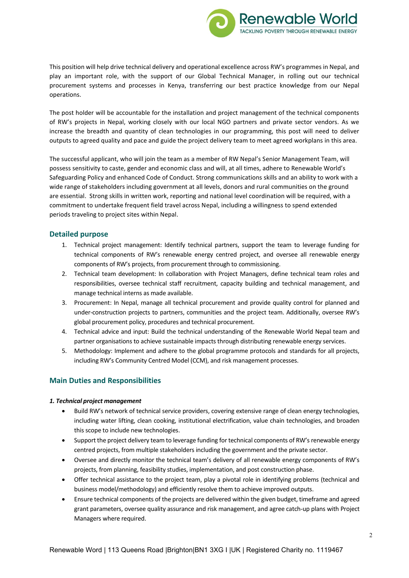

This position will help drive technical delivery and operational excellence across RW's programmes in Nepal, and play an important role, with the support of our Global Technical Manager, in rolling out our technical procurement systems and processes in Kenya, transferring our best practice knowledge from our Nepal operations.

The post holder will be accountable for the installation and project management of the technical components of RW's projects in Nepal, working closely with our local NGO partners and private sector vendors. As we increase the breadth and quantity of clean technologies in our programming, this post will need to deliver outputs to agreed quality and pace and guide the project delivery team to meet agreed workplans in this area.

The successful applicant, who will join the team as a member of RW Nepal's Senior Management Team, will possess sensitivity to caste, gender and economic class and will, at all times, adhere to Renewable World's Safeguarding Policy and enhanced Code of Conduct. Strong communications skills and an ability to work with a wide range of stakeholders including government at all levels, donors and rural communities on the ground are essential. Strong skills in written work, reporting and national level coordination will be required, with a commitment to undertake frequent field travel across Nepal, including a willingness to spend extended periods traveling to project sites within Nepal.

## **Detailed purpose**

- 1. Technical project management: Identify technical partners, support the team to leverage funding for technical components of RW's renewable energy centred project, and oversee all renewable energy components of RW's projects, from procurement through to commissioning.
- 2. Technical team development: In collaboration with Project Managers, define technical team roles and responsibilities, oversee technical staff recruitment, capacity building and technical management, and manage technical interns as made available.
- 3. Procurement: In Nepal, manage all technical procurement and provide quality control for planned and under-construction projects to partners, communities and the project team. Additionally, oversee RW's global procurement policy, procedures and technical procurement.
- 4. Technical advice and input: Build the technical understanding of the Renewable World Nepal team and partner organisations to achieve sustainable impacts through distributing renewable energy services.
- 5. Methodology: Implement and adhere to the global programme protocols and standards for all projects, including RW's Community Centred Model (CCM), and risk management processes.

## **Main Duties and Responsibilities**

#### *1. Technical project management*

- Build RW's network of technical service providers, covering extensive range of clean energy technologies, including water lifting, clean cooking, institutional electrification, value chain technologies, and broaden this scope to include new technologies.
- Support the project delivery team to leverage funding for technical components of RW's renewable energy centred projects, from multiple stakeholders including the government and the private sector.
- Oversee and directly monitor the technical team's delivery of all renewable energy components of RW's projects, from planning, feasibility studies, implementation, and post construction phase.
- Offer technical assistance to the project team, play a pivotal role in identifying problems (technical and business model/methodology) and efficiently resolve them to achieve improved outputs.
- Ensure technical components of the projects are delivered within the given budget, timeframe and agreed grant parameters, oversee quality assurance and risk management, and agree catch-up plans with Project Managers where required.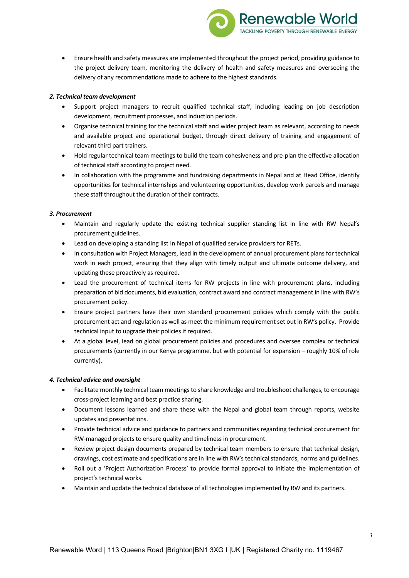• Ensure health and safety measures are implemented throughout the project period, providing guidance to the project delivery team, monitoring the delivery of health and safety measures and overseeing the delivery of any recommendations made to adhere to the highest standards.

**Renewable World TACKLING POVERTY THROUGH RENEWABLE ENERGY** 

### *2. Technical team development*

- Support project managers to recruit qualified technical staff, including leading on job description development, recruitment processes, and induction periods.
- Organise technical training for the technical staff and wider project team as relevant, according to needs and available project and operational budget, through direct delivery of training and engagement of relevant third part trainers.
- Hold regular technical team meetings to build the team cohesiveness and pre-plan the effective allocation of technical staff according to project need.
- In collaboration with the programme and fundraising departments in Nepal and at Head Office, identify opportunities for technical internships and volunteering opportunities, develop work parcels and manage these staff throughout the duration of their contracts.

#### *3. Procurement*

- Maintain and regularly update the existing technical supplier standing list in line with RW Nepal's procurement guidelines.
- Lead on developing a standing list in Nepal of qualified service providers for RETs.
- In consultation with Project Managers, lead in the development of annual procurement plans for technical work in each project, ensuring that they align with timely output and ultimate outcome delivery, and updating these proactively as required.
- Lead the procurement of technical items for RW projects in line with procurement plans, including preparation of bid documents, bid evaluation, contract award and contract management in line with RW's procurement policy.
- Ensure project partners have their own standard procurement policies which comply with the public procurement act and regulation as well as meet the minimum requirement set out in RW's policy. Provide technical input to upgrade their policies if required.
- At a global level, lead on global procurement policies and procedures and oversee complex or technical procurements (currently in our Kenya programme, but with potential for expansion – roughly 10% of role currently).

#### *4. Technical advice and oversight*

- Facilitate monthly technical team meetings to share knowledge and troubleshoot challenges, to encourage cross-project learning and best practice sharing.
- Document lessons learned and share these with the Nepal and global team through reports, website updates and presentations.
- Provide technical advice and guidance to partners and communities regarding technical procurement for RW-managed projects to ensure quality and timeliness in procurement.
- Review project design documents prepared by technical team members to ensure that technical design, drawings, cost estimate and specifications are in line with RW's technical standards, norms and guidelines.
- Roll out a 'Project Authorization Process' to provide formal approval to initiate the implementation of project's technical works.
- Maintain and update the technical database of all technologies implemented by RW and its partners.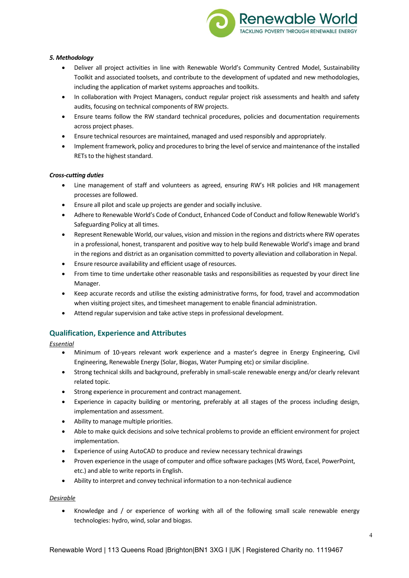

### *5. Methodology*

- Deliver all project activities in line with Renewable World's Community Centred Model, Sustainability Toolkit and associated toolsets, and contribute to the development of updated and new methodologies, including the application of market systems approaches and toolkits.
- In collaboration with Project Managers, conduct regular project risk assessments and health and safety audits, focusing on technical components of RW projects.
- Ensure teams follow the RW standard technical procedures, policies and documentation requirements across project phases.
- Ensure technical resources are maintained, managed and used responsibly and appropriately.
- Implement framework, policy and procedures to bring the level of service and maintenance of the installed RETs to the highest standard.

### *Cross-cutting duties*

- Line management of staff and volunteers as agreed, ensuring RW's HR policies and HR management processes are followed.
- Ensure all pilot and scale up projects are gender and socially inclusive.
- Adhere to Renewable World's Code of Conduct, Enhanced Code of Conduct and follow Renewable World's Safeguarding Policy at all times.
- Represent Renewable World, our values, vision and mission in the regions and districts where RW operates in a professional, honest, transparent and positive way to help build Renewable World's image and brand in the regions and district as an organisation committed to poverty alleviation and collaboration in Nepal.
- Ensure resource availability and efficient usage of resources.
- From time to time undertake other reasonable tasks and responsibilities as requested by your direct line Manager.
- Keep accurate records and utilise the existing administrative forms, for food, travel and accommodation when visiting project sites, and timesheet management to enable financial administration.
- Attend regular supervision and take active steps in professional development.

## **Qualification, Experience and Attributes**

*Essential*

- Minimum of 10-years relevant work experience and a master's degree in Energy Engineering, Civil Engineering, Renewable Energy (Solar, Biogas, Water Pumping etc) or similar discipline.
- Strong technical skills and background, preferably in small-scale renewable energy and/or clearly relevant related topic.
- Strong experience in procurement and contract management.
- Experience in capacity building or mentoring, preferably at all stages of the process including design, implementation and assessment.
- Ability to manage multiple priorities.
- Able to make quick decisions and solve technical problems to provide an efficient environment for project implementation.
- Experience of using AutoCAD to produce and review necessary technical drawings
- Proven experience in the usage of computer and office software packages (MS Word, Excel, PowerPoint, etc.) and able to write reports in English.
- Ability to interpret and convey technical information to a non-technical audience

### *Desirable*

Knowledge and / or experience of working with all of the following small scale renewable energy technologies: hydro, wind, solar and biogas.